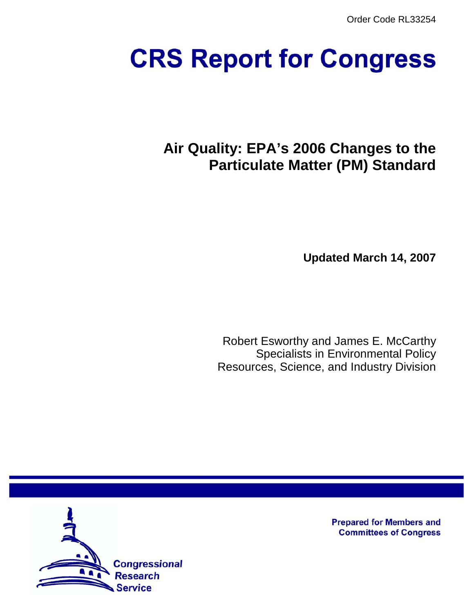Order Code RL33254

# **CRS Report for Congress**

# **Air Quality: EPA's 2006 Changes to the Particulate Matter (PM) Standard**

**Updated March 14, 2007**

Robert Esworthy and James E. McCarthy Specialists in Environmental Policy Resources, Science, and Industry Division



**Prepared for Members and Committees of Congress**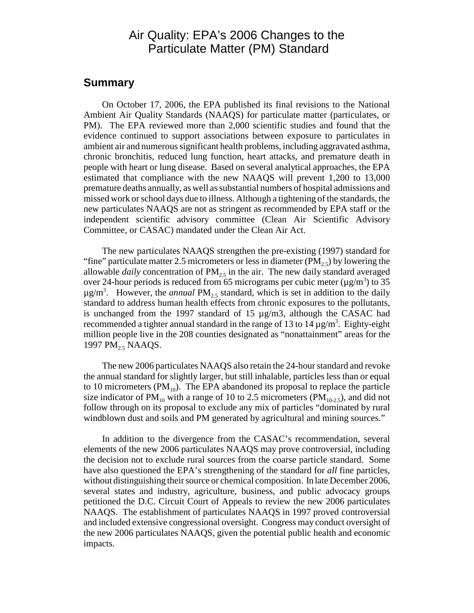# Air Quality: EPA's 2006 Changes to the Particulate Matter (PM) Standard

#### **Summary**

On October 17, 2006, the EPA published its final revisions to the National Ambient Air Quality Standards (NAAQS) for particulate matter (particulates, or PM). The EPA reviewed more than 2,000 scientific studies and found that the evidence continued to support associations between exposure to particulates in ambient air and numerous significant health problems, including aggravated asthma, chronic bronchitis, reduced lung function, heart attacks, and premature death in people with heart or lung disease. Based on several analytical approaches, the EPA estimated that compliance with the new NAAQS will prevent 1,200 to 13,000 premature deaths annually, as well as substantial numbers of hospital admissions and missed work or school days due to illness. Although a tightening of the standards, the new particulates NAAQS are not as stringent as recommended by EPA staff or the independent scientific advisory committee (Clean Air Scientific Advisory Committee, or CASAC) mandated under the Clean Air Act.

The new particulates NAAQS strengthen the pre-existing (1997) standard for "fine" particulate matter 2.5 micrometers or less in diameter ( $PM_2$ ) by lowering the allowable *daily* concentration of  $PM<sub>2.5</sub>$  in the air. The new daily standard averaged over 24-hour periods is reduced from 65 micrograms per cubic meter ( $\mu$ g/m<sup>3</sup>) to 35  $\mu$ g/m<sup>3</sup>. However, the *annual* PM<sub>2.5</sub> standard, which is set in addition to the daily standard to address human health effects from chronic exposures to the pollutants, is unchanged from the 1997 standard of 15  $\mu$ g/m3, although the CASAC had recommended a tighter annual standard in the range of 13 to 14  $\mu$ g/m<sup>3</sup>. Eighty-eight million people live in the 208 counties designated as "nonattainment" areas for the 1997 PM<sub>2.5</sub> NAAQS.

The new 2006 particulates NAAQS also retain the 24-hour standard and revoke the annual standard for slightly larger, but still inhalable, particles less than or equal to 10 micrometers  $(PM_{10})$ . The EPA abandoned its proposal to replace the particle size indicator of  $PM_{10}$  with a range of 10 to 2.5 micrometers ( $PM_{10-2.5}$ ), and did not follow through on its proposal to exclude any mix of particles "dominated by rural windblown dust and soils and PM generated by agricultural and mining sources."

In addition to the divergence from the CASAC's recommendation, several elements of the new 2006 particulates NAAQS may prove controversial, including the decision not to exclude rural sources from the coarse particle standard. Some have also questioned the EPA's strengthening of the standard for *all* fine particles, without distinguishing their source or chemical composition. In late December 2006, several states and industry, agriculture, business, and public advocacy groups petitioned the D.C. Circuit Court of Appeals to review the new 2006 particulates NAAQS. The establishment of particulates NAAQS in 1997 proved controversial and included extensive congressional oversight. Congress may conduct oversight of the new 2006 particulates NAAQS, given the potential public health and economic impacts.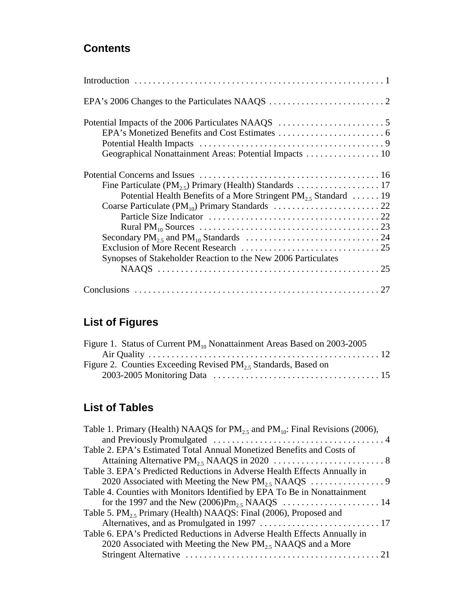# **Contents**

| Geographical Nonattainment Areas: Potential Impacts  10               |
|-----------------------------------------------------------------------|
|                                                                       |
|                                                                       |
| Potential Health Benefits of a More Stringent $PM_{2.5}$ Standard  19 |
|                                                                       |
|                                                                       |
|                                                                       |
|                                                                       |
|                                                                       |
| Synopses of Stakeholder Reaction to the New 2006 Particulates         |
|                                                                       |
|                                                                       |

# **List of Figures**

| Figure 1. Status of Current PM <sub>10</sub> Nonattainment Areas Based on 2003-2005 |  |
|-------------------------------------------------------------------------------------|--|
|                                                                                     |  |
| Figure 2. Counties Exceeding Revised $PM_{2.5}$ Standards, Based on                 |  |
|                                                                                     |  |

# **List of Tables**

| Table 1. Primary (Health) NAAQS for $PM_{25}$ and $PM_{10}$ : Final Revisions (2006), |  |
|---------------------------------------------------------------------------------------|--|
|                                                                                       |  |
| Table 2. EPA's Estimated Total Annual Monetized Benefits and Costs of                 |  |
|                                                                                       |  |
| Table 3. EPA's Predicted Reductions in Adverse Health Effects Annually in             |  |
|                                                                                       |  |
| Table 4. Counties with Monitors Identified by EPA To Be in Nonattainment              |  |
|                                                                                       |  |
| Table 5. $PM_{25}$ Primary (Health) NAAQS: Final (2006), Proposed and                 |  |
|                                                                                       |  |
| Table 6. EPA's Predicted Reductions in Adverse Health Effects Annually in             |  |
| 2020 Associated with Meeting the New $PM25$ NAAQS and a More                          |  |
|                                                                                       |  |
|                                                                                       |  |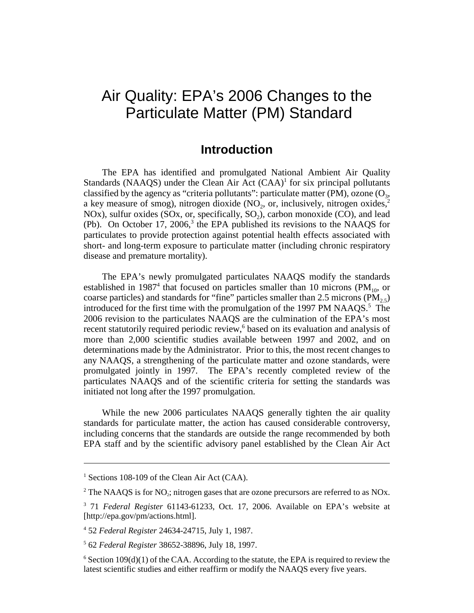# Air Quality: EPA's 2006 Changes to the Particulate Matter (PM) Standard

# **Introduction**

The EPA has identified and promulgated National Ambient Air Quality Standards (NAAQS) under the Clean Air Act  $(CAA)^1$  for six principal pollutants classified by the agency as "criteria pollutants": particulate matter (PM), ozone ( $O_3$ , a key measure of smog), nitrogen dioxide (NO<sub>2</sub>, or, inclusively, nitrogen oxides,<sup>2</sup> NOx), sulfur oxides (SOx, or, specifically,  $SO<sub>2</sub>$ ), carbon monoxide (CO), and lead (Pb). On October 17, 2006,<sup>3</sup> the EPA published its revisions to the NAAQS for particulates to provide protection against potential health effects associated with short- and long-term exposure to particulate matter (including chronic respiratory disease and premature mortality).

The EPA's newly promulgated particulates NAAQS modify the standards established in 1987<sup>4</sup> that focused on particles smaller than 10 microns (PM<sub>10</sub>, or coarse particles) and standards for "fine" particles smaller than 2.5 microns ( $\overline{PM}_{2.5}$ ) introduced for the first time with the promulgation of the 1997 PM NAAQS.<sup>5</sup> The 2006 revision to the particulates NAAQS are the culmination of the EPA's most recent statutorily required periodic review,<sup>6</sup> based on its evaluation and analysis of more than 2,000 scientific studies available between 1997 and 2002, and on determinations made by the Administrator. Prior to this, the most recent changes to any NAAQS, a strengthening of the particulate matter and ozone standards, were promulgated jointly in 1997. The EPA's recently completed review of the particulates NAAQS and of the scientific criteria for setting the standards was initiated not long after the 1997 promulgation.

While the new 2006 particulates NAAQS generally tighten the air quality standards for particulate matter, the action has caused considerable controversy, including concerns that the standards are outside the range recommended by both EPA staff and by the scientific advisory panel established by the Clean Air Act

<sup>&</sup>lt;sup>1</sup> Sections 108-109 of the Clean Air Act (CAA).

<sup>&</sup>lt;sup>2</sup> The NAAQS is for NO<sub>2</sub>; nitrogen gases that are ozone precursors are referred to as NOx.

<sup>3</sup> 71 *Federal Register* 61143-61233, Oct. 17, 2006. Available on EPA's website at [http://epa.gov/pm/actions.html].

<sup>4</sup> 52 *Federal Register* 24634-24715, July 1, 1987.

<sup>5</sup> 62 *Federal Register* 38652-38896, July 18, 1997.

 $6$  Section 109(d)(1) of the CAA. According to the statute, the EPA is required to review the latest scientific studies and either reaffirm or modify the NAAQS every five years.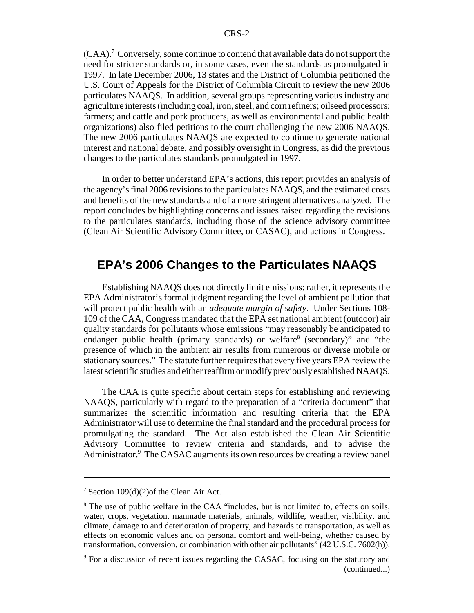(CAA).<sup>7</sup> Conversely, some continue to contend that available data do not support the need for stricter standards or, in some cases, even the standards as promulgated in 1997. In late December 2006, 13 states and the District of Columbia petitioned the U.S. Court of Appeals for the District of Columbia Circuit to review the new 2006 particulates NAAQS. In addition, several groups representing various industry and agriculture interests (including coal, iron, steel, and corn refiners; oilseed processors; farmers; and cattle and pork producers, as well as environmental and public health organizations) also filed petitions to the court challenging the new 2006 NAAQS. The new 2006 particulates NAAQS are expected to continue to generate national interest and national debate, and possibly oversight in Congress, as did the previous changes to the particulates standards promulgated in 1997.

In order to better understand EPA's actions, this report provides an analysis of the agency's final 2006 revisions to the particulates NAAQS, and the estimated costs and benefits of the new standards and of a more stringent alternatives analyzed. The report concludes by highlighting concerns and issues raised regarding the revisions to the particulates standards, including those of the science advisory committee (Clean Air Scientific Advisory Committee, or CASAC), and actions in Congress.

# **EPA's 2006 Changes to the Particulates NAAQS**

Establishing NAAQS does not directly limit emissions; rather, it represents the EPA Administrator's formal judgment regarding the level of ambient pollution that will protect public health with an *adequate margin of safety*. Under Sections 108- 109 of the CAA, Congress mandated that the EPA set national ambient (outdoor) air quality standards for pollutants whose emissions "may reasonably be anticipated to endanger public health (primary standards) or welfare<sup>8</sup> (secondary)" and "the presence of which in the ambient air results from numerous or diverse mobile or stationary sources." The statute further requires that every five years EPA review the latest scientific studies and either reaffirm or modify previously established NAAQS.

The CAA is quite specific about certain steps for establishing and reviewing NAAQS, particularly with regard to the preparation of a "criteria document" that summarizes the scientific information and resulting criteria that the EPA Administrator will use to determine the final standard and the procedural process for promulgating the standard. The Act also established the Clean Air Scientific Advisory Committee to review criteria and standards, and to advise the Administrator.<sup>9</sup> The CASAC augments its own resources by creating a review panel

<sup>7</sup> Section 109(d)(2)of the Clean Air Act.

<sup>&</sup>lt;sup>8</sup> The use of public welfare in the CAA "includes, but is not limited to, effects on soils, water, crops, vegetation, manmade materials, animals, wildlife, weather, visibility, and climate, damage to and deterioration of property, and hazards to transportation, as well as effects on economic values and on personal comfort and well-being, whether caused by transformation, conversion, or combination with other air pollutants" (42 U.S.C. 7602(h)).

<sup>&</sup>lt;sup>9</sup> For a discussion of recent issues regarding the CASAC, focusing on the statutory and (continued...)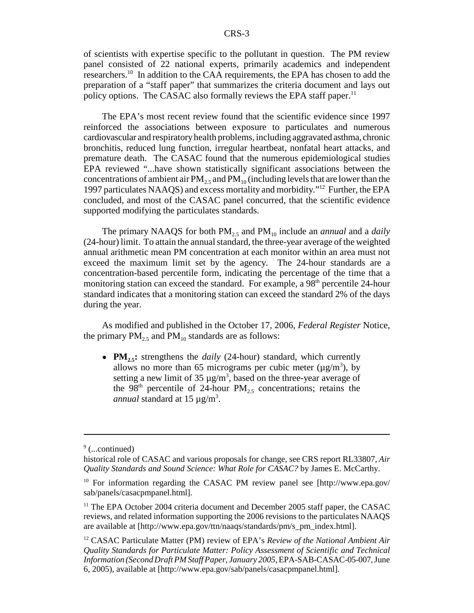of scientists with expertise specific to the pollutant in question. The PM review panel consisted of 22 national experts, primarily academics and independent researchers.10 In addition to the CAA requirements, the EPA has chosen to add the preparation of a "staff paper" that summarizes the criteria document and lays out policy options. The CASAC also formally reviews the EPA staff paper.<sup>11</sup>

The EPA's most recent review found that the scientific evidence since 1997 reinforced the associations between exposure to particulates and numerous cardiovascular and respiratory health problems, including aggravated asthma, chronic bronchitis, reduced lung function, irregular heartbeat, nonfatal heart attacks, and premature death. The CASAC found that the numerous epidemiological studies EPA reviewed "...have shown statistically significant associations between the concentrations of ambient air  $PM_2$ , and  $PM_{10}$  (including levels that are lower than the 1997 particulates NAAQS) and excess mortality and morbidity."12 Further, the EPA concluded, and most of the CASAC panel concurred, that the scientific evidence supported modifying the particulates standards.

The primary NAAQS for both PM<sub>2.5</sub> and PM<sub>10</sub> include an *annual* and a *daily* (24-hour) limit. To attain the annual standard, the three-year average of the weighted annual arithmetic mean PM concentration at each monitor within an area must not exceed the maximum limit set by the agency. The 24-hour standards are a concentration-based percentile form, indicating the percentage of the time that a monitoring station can exceed the standard. For example, a  $98<sup>th</sup>$  percentile 24-hour standard indicates that a monitoring station can exceed the standard 2% of the days during the year.

As modified and published in the October 17, 2006, *Federal Register* Notice, the primary  $PM_{2.5}$  and  $PM_{10}$  standards are as follows:

• **PM<sub>2.5</sub>:** strengthens the *daily* (24-hour) standard, which currently allows no more than 65 micrograms per cubic meter ( $\mu$ g/m<sup>3</sup>), by setting a new limit of 35  $\mu$ g/m<sup>3</sup>, based on the three-year average of the 98<sup>th</sup> percentile of 24-hour PM<sub>2.5</sub> concentrations; retains the annual standard at 15 µg/m<sup>3</sup>.

<sup>&</sup>lt;sup>9</sup> (...continued)

historical role of CASAC and various proposals for change, see CRS report RL33807, *Air Quality Standards and Sound Science: What Role for CASAC?* by James E. McCarthy.

<sup>&</sup>lt;sup>10</sup> For information regarding the CASAC PM review panel see [http://www.epa.gov/ sab/panels/casacpmpanel.html].

 $11$  The EPA October 2004 criteria document and December 2005 staff paper, the CASAC reviews, and related information supporting the 2006 revisions to the particulates NAAQS are available at [http://www.epa.gov/ttn/naaqs/standards/pm/s\_pm\_index.html].

<sup>12</sup> CASAC Particulate Matter (PM) review of EPA's *Review of the National Ambient Air Quality Standards for Particulate Matter: Policy Assessment of Scientific and Technical Information (Second Draft PM Staff Paper, January 2005*, EPA-SAB-CASAC-05-007, June 6, 2005), available at [http://www.epa.gov/sab/panels/casacpmpanel.html].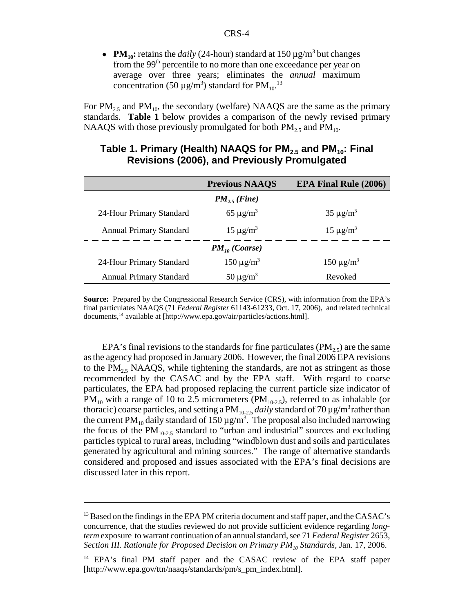•  $PM_{10}$ : retains the *daily* (24-hour) standard at  $150 \,\mu g/m^3$  but changes from the 99th percentile to no more than one exceedance per year on average over three years; eliminates the *annual* maximum concentration (50  $\mu$ g/m<sup>3</sup>) standard for PM<sub>10</sub>.<sup>13</sup>

For  $PM_{2.5}$  and  $PM_{10}$ , the secondary (welfare) NAAQS are the same as the primary standards. **Table 1** below provides a comparison of the newly revised primary NAAQS with those previously promulgated for both  $PM_{2.5}$  and  $PM_{10}$ .

|                                | <b>Previous NAAQS</b>      | <b>EPA Final Rule (2006)</b> |  |  |  |  |
|--------------------------------|----------------------------|------------------------------|--|--|--|--|
| $PM_{25}$ (Fine)               |                            |                              |  |  |  |  |
| 24-Hour Primary Standard       | 65 $\mu$ g/m <sup>3</sup>  | $35 \mu g/m^3$               |  |  |  |  |
| <b>Annual Primary Standard</b> | $15 \mu g/m^3$             | $15 \mu g/m^3$               |  |  |  |  |
| $PM_{10}$ (Coarse)             |                            |                              |  |  |  |  |
| 24-Hour Primary Standard       | 150 $\mu$ g/m <sup>3</sup> | $150 \mu g/m^3$              |  |  |  |  |
| <b>Annual Primary Standard</b> | 50 $\mu$ g/m <sup>3</sup>  | Revoked                      |  |  |  |  |

#### Table 1. Primary (Health) NAAQS for PM<sub>2.5</sub> and PM<sub>10</sub>: Final **Revisions (2006), and Previously Promulgated**

**Source:** Prepared by the Congressional Research Service (CRS), with information from the EPA's final particulates NAAQS (71 *Federal Register* 61143-61233, Oct. 17, 2006), and related technical documents,14 available at [http://www.epa.gov/air/particles/actions.html].

EPA's final revisions to the standards for fine particulates ( $PM<sub>2.5</sub>$ ) are the same as the agency had proposed in January 2006. However, the final 2006 EPA revisions to the  $PM<sub>2.5</sub> NAAQS$ , while tightening the standards, are not as stringent as those recommended by the CASAC and by the EPA staff. With regard to coarse particulates, the EPA had proposed replacing the current particle size indicator of  $PM_{10}$  with a range of 10 to 2.5 micrometers ( $PM_{10-2.5}$ ), referred to as inhalable (or thoracic) coarse particles, and setting a  $PM_{10-2.5}$  *daily* standard of 70  $\mu$ g/m<sup>3</sup> rather than the current PM<sub>10</sub> daily standard of 150  $\mu$  g/m<sup>3</sup>. The proposal also included narrowing the focus of the  $PM_{10-2.5}$  standard to "urban and industrial" sources and excluding particles typical to rural areas, including "windblown dust and soils and particulates generated by agricultural and mining sources." The range of alternative standards considered and proposed and issues associated with the EPA's final decisions are discussed later in this report.

<sup>&</sup>lt;sup>13</sup> Based on the findings in the EPA PM criteria document and staff paper, and the CASAC's concurrence, that the studies reviewed do not provide sufficient evidence regarding *longterm* exposure to warrant continuation of an annual standard, see 71 *Federal Register* 2653, *Section III. Rationale for Proposed Decision on Primary PM<sub>10</sub> Standards, Jan. 17, 2006.* 

<sup>&</sup>lt;sup>14</sup> EPA's final PM staff paper and the CASAC review of the EPA staff paper [http://www.epa.gov/ttn/naaqs/standards/pm/s\_pm\_index.html].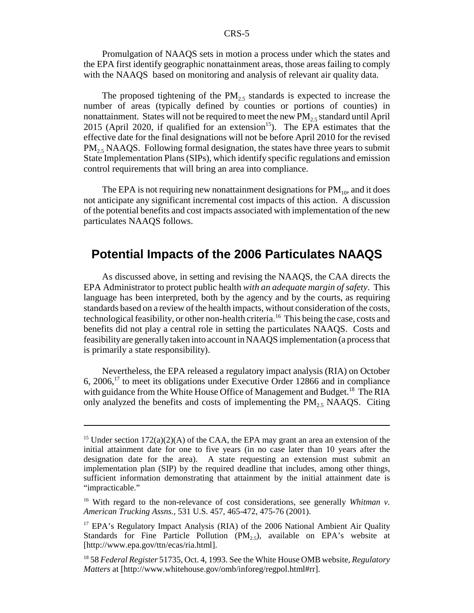Promulgation of NAAQS sets in motion a process under which the states and the EPA first identify geographic nonattainment areas, those areas failing to comply with the NAAQS based on monitoring and analysis of relevant air quality data.

The proposed tightening of the  $PM<sub>2.5</sub>$  standards is expected to increase the number of areas (typically defined by counties or portions of counties) in nonattainment. States will not be required to meet the new  $PM<sub>2.5</sub>$  standard until April 2015 (April 2020, if qualified for an extension<sup>15</sup>). The EPA estimates that the effective date for the final designations will not be before April 2010 for the revised  $PM<sub>25</sub> NAAQS. Following formal designation, the states have three years to submit$ State Implementation Plans (SIPs), which identify specific regulations and emission control requirements that will bring an area into compliance.

The EPA is not requiring new nonattainment designations for  $PM_{10}$ , and it does not anticipate any significant incremental cost impacts of this action. A discussion of the potential benefits and cost impacts associated with implementation of the new particulates NAAQS follows.

# **Potential Impacts of the 2006 Particulates NAAQS**

As discussed above, in setting and revising the NAAQS, the CAA directs the EPA Administrator to protect public health *with an adequate margin of safety*. This language has been interpreted, both by the agency and by the courts, as requiring standards based on a review of the health impacts, without consideration of the costs, technological feasibility, or other non-health criteria.<sup>16</sup> This being the case, costs and benefits did not play a central role in setting the particulates NAAQS. Costs and feasibility are generally taken into account in NAAQS implementation (a process that is primarily a state responsibility).

Nevertheless, the EPA released a regulatory impact analysis (RIA) on October 6, 2006,17 to meet its obligations under Executive Order 12866 and in compliance with guidance from the White House Office of Management and Budget.<sup>18</sup> The RIA only analyzed the benefits and costs of implementing the  $PM_{2.5}$  NAAQS. Citing

<sup>&</sup>lt;sup>15</sup> Under section  $172(a)(2)(A)$  of the CAA, the EPA may grant an area an extension of the initial attainment date for one to five years (in no case later than 10 years after the designation date for the area). A state requesting an extension must submit an implementation plan (SIP) by the required deadline that includes, among other things, sufficient information demonstrating that attainment by the initial attainment date is "impracticable."

<sup>16</sup> With regard to the non-relevance of cost considerations, see generally *Whitman v. American Trucking Assns.,* 531 U.S. 457, 465-472, 475-76 (2001).

<sup>17</sup> EPA's Regulatory Impact Analysis (RIA) of the 2006 National Ambient Air Quality Standards for Fine Particle Pollution  $(PM_{2.5})$ , available on EPA's website at [http://www.epa.gov/ttn/ecas/ria.html].

<sup>18 58</sup> *Federal Register* 51735, Oct. 4, 1993. See the White House OMB website, *Regulatory Matters* at [http://www.whitehouse.gov/omb/inforeg/regpol.html#rr].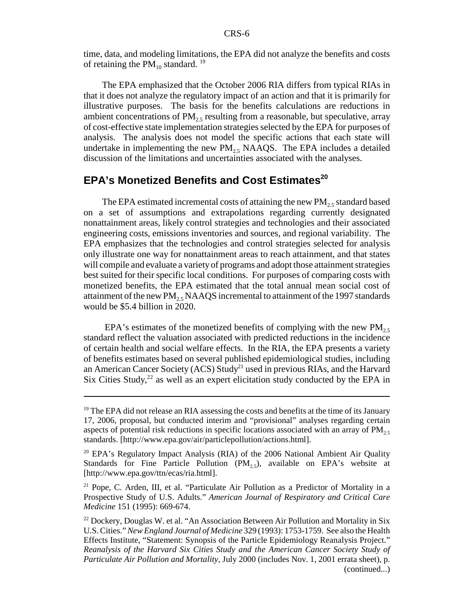time, data, and modeling limitations, the EPA did not analyze the benefits and costs of retaining the  $PM_{10}$  standard. <sup>19</sup>

The EPA emphasized that the October 2006 RIA differs from typical RIAs in that it does not analyze the regulatory impact of an action and that it is primarily for illustrative purposes. The basis for the benefits calculations are reductions in ambient concentrations of  $PM<sub>25</sub>$  resulting from a reasonable, but speculative, array of cost-effective state implementation strategies selected by the EPA for purposes of analysis. The analysis does not model the specific actions that each state will undertake in implementing the new  $PM_{2.5}$  NAAQS. The EPA includes a detailed discussion of the limitations and uncertainties associated with the analyses.

### **EPA's Monetized Benefits and Cost Estimates<sup>20</sup>**

The EPA estimated incremental costs of attaining the new  $PM_{2.5}$  standard based on a set of assumptions and extrapolations regarding currently designated nonattainment areas, likely control strategies and technologies and their associated engineering costs, emissions inventories and sources, and regional variability. The EPA emphasizes that the technologies and control strategies selected for analysis only illustrate one way for nonattainment areas to reach attainment, and that states will compile and evaluate a variety of programs and adopt those attainment strategies best suited for their specific local conditions. For purposes of comparing costs with monetized benefits, the EPA estimated that the total annual mean social cost of attainment of the new  $PM_{2.5}$  NAAQS incremental to attainment of the 1997 standards would be \$5.4 billion in 2020.

EPA's estimates of the monetized benefits of complying with the new  $PM_{2.5}$ standard reflect the valuation associated with predicted reductions in the incidence of certain health and social welfare effects. In the RIA, the EPA presents a variety of benefits estimates based on several published epidemiological studies, including an American Cancer Society (ACS) Study<sup>21</sup> used in previous RIAs, and the Harvard Six Cities Study, $^{22}$  as well as an expert elicitation study conducted by the EPA in

 $<sup>19</sup>$  The EPA did not release an RIA assessing the costs and benefits at the time of its January</sup> 17, 2006, proposal, but conducted interim and "provisional" analyses regarding certain aspects of potential risk reductions in specific locations associated with an array of  $PM_{2.5}$ standards. [http://www.epa.gov/air/particlepollution/actions.html].

<sup>&</sup>lt;sup>20</sup> EPA's Regulatory Impact Analysis (RIA) of the 2006 National Ambient Air Quality Standards for Fine Particle Pollution  $(PM_2, S)$ , available on EPA's website at [http://www.epa.gov/ttn/ecas/ria.html].

<sup>&</sup>lt;sup>21</sup> Pope, C. Arden, III, et al. "Particulate Air Pollution as a Predictor of Mortality in a Prospective Study of U.S. Adults." *American Journal of Respiratory and Critical Care Medicine* 151 (1995): 669-674.

 $^{22}$  Dockery, Douglas W. et al. "An Association Between Air Pollution and Mortality in Six U.S. Cities." *New England Journal of Medicine* 329 (1993): 1753-1759. See also the Health Effects Institute, "Statement: Synopsis of the Particle Epidemiology Reanalysis Project." *Reanalysis of the Harvard Six Cities Study and the American Cancer Society Study of Particulate Air Pollution and Mortality*, July 2000 (includes Nov. 1, 2001 errata sheet), p. (continued...)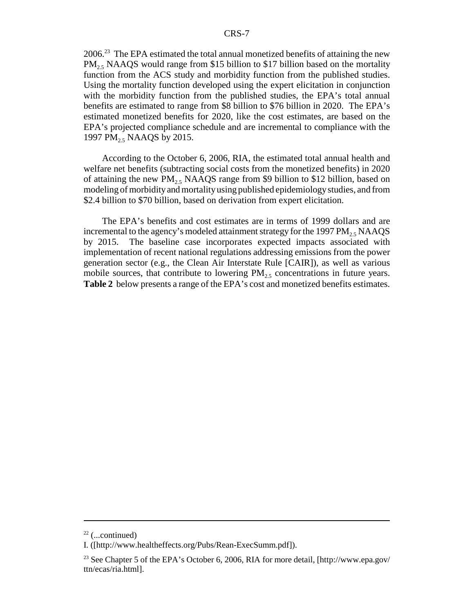2006.23 The EPA estimated the total annual monetized benefits of attaining the new  $PM<sub>25</sub> NAAQS$  would range from \$15 billion to \$17 billion based on the mortality function from the ACS study and morbidity function from the published studies. Using the mortality function developed using the expert elicitation in conjunction with the morbidity function from the published studies, the EPA's total annual benefits are estimated to range from \$8 billion to \$76 billion in 2020. The EPA's estimated monetized benefits for 2020, like the cost estimates, are based on the EPA's projected compliance schedule and are incremental to compliance with the 1997 PM<sub>2.5</sub> NAAQS by 2015.

According to the October 6, 2006, RIA, the estimated total annual health and welfare net benefits (subtracting social costs from the monetized benefits) in 2020 of attaining the new  $PM<sub>2.5</sub> NAAQS$  range from \$9 billion to \$12 billion, based on modeling of morbidity and mortality using published epidemiology studies, and from \$2.4 billion to \$70 billion, based on derivation from expert elicitation.

The EPA's benefits and cost estimates are in terms of 1999 dollars and are incremental to the agency's modeled attainment strategy for the 1997  $PM_{2.5}$  NAAQS<br>by 2015. The baseline case incorporates expected impacts associated with The baseline case incorporates expected impacts associated with implementation of recent national regulations addressing emissions from the power generation sector (e.g., the Clean Air Interstate Rule [CAIR]), as well as various mobile sources, that contribute to lowering  $PM<sub>25</sub>$  concentrations in future years. **Table 2** below presents a range of the EPA's cost and monetized benefits estimates.

 $22$  (...continued)

I. ([http://www.healtheffects.org/Pubs/Rean-ExecSumm.pdf]).

<sup>&</sup>lt;sup>23</sup> See Chapter 5 of the EPA's October 6, 2006, RIA for more detail, [http://www.epa.gov/ ttn/ecas/ria.html].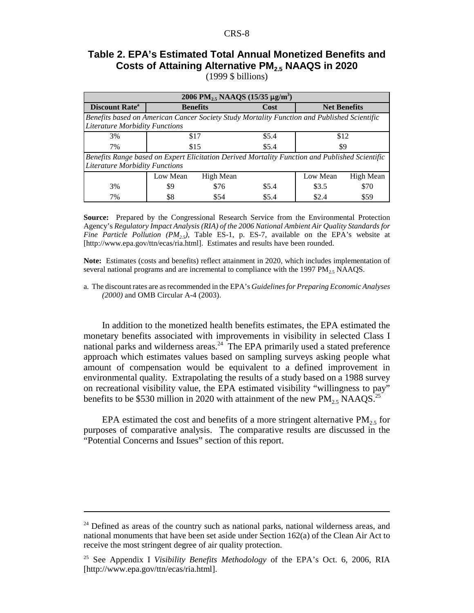## **Table 2. EPA's Estimated Total Annual Monetized Benefits and Costs of Attaining Alternative PM2.5 NAAQS in 2020**

(1999 \$ billions)

| 2006 PM <sub>2</sub> , NAAQS $(15/35 \mu g/m^3)$                                                                                        |                      |                 |       |                     |           |  |
|-----------------------------------------------------------------------------------------------------------------------------------------|----------------------|-----------------|-------|---------------------|-----------|--|
| <b>Discount Rate</b> <sup>a</sup>                                                                                                       |                      | <b>Benefits</b> | Cost  | <b>Net Benefits</b> |           |  |
| Benefits based on American Cancer Society Study Mortality Function and Published Scientific<br><b>Literature Morbidity Functions</b>    |                      |                 |       |                     |           |  |
| 3%                                                                                                                                      | \$5.4<br>\$17        |                 | \$12  |                     |           |  |
| 7%                                                                                                                                      | \$15<br>\$5.4<br>\$9 |                 |       |                     |           |  |
| Benefits Range based on Expert Elicitation Derived Mortality Function and Published Scientific<br><b>Literature Morbidity Functions</b> |                      |                 |       |                     |           |  |
|                                                                                                                                         | Low Mean             | High Mean       |       | Low Mean            | High Mean |  |
| 3%                                                                                                                                      | \$9                  | \$76            | \$5.4 | \$3.5               | \$70      |  |
| 7%                                                                                                                                      | \$8                  | \$54            | \$5.4 | \$2.4               | \$59      |  |

**Source:** Prepared by the Congressional Research Service from the Environmental Protection Agency's *Regulatory Impact Analysis (RIA) of the 2006 National Ambient Air Quality Standards for Fine Particle Pollution (PM<sub>2.5</sub>)*, Table ES-1, p. ES-7, available on the EPA's website at [http://www.epa.gov/ttn/ecas/ria.html]. Estimates and results have been rounded.

**Note:** Estimates (costs and benefits) reflect attainment in 2020, which includes implementation of several national programs and are incremental to compliance with the 1997  $PM_{2.5}$  NAAQS.

a. The discount rates are as recommended in the EPA's *Guidelines for Preparing Economic Analyses (2000)* and OMB Circular A-4 (2003).

In addition to the monetized health benefits estimates, the EPA estimated the monetary benefits associated with improvements in visibility in selected Class I national parks and wilderness areas.<sup>24</sup> The EPA primarily used a stated preference approach which estimates values based on sampling surveys asking people what amount of compensation would be equivalent to a defined improvement in environmental quality. Extrapolating the results of a study based on a 1988 survey on recreational visibility value, the EPA estimated visibility "willingness to pay" benefits to be \$530 million in 2020 with attainment of the new  $PM_{2.5}$  NAAQS.<sup>25</sup>

EPA estimated the cost and benefits of a more stringent alternative  $PM_{2.5}$  for purposes of comparative analysis. The comparative results are discussed in the "Potential Concerns and Issues" section of this report.

 $24$  Defined as areas of the country such as national parks, national wilderness areas, and national monuments that have been set aside under Section 162(a) of the Clean Air Act to receive the most stringent degree of air quality protection.

<sup>25</sup> See Appendix I *Visibility Benefits Methodology* of the EPA's Oct. 6, 2006, RIA [http://www.epa.gov/ttn/ecas/ria.html].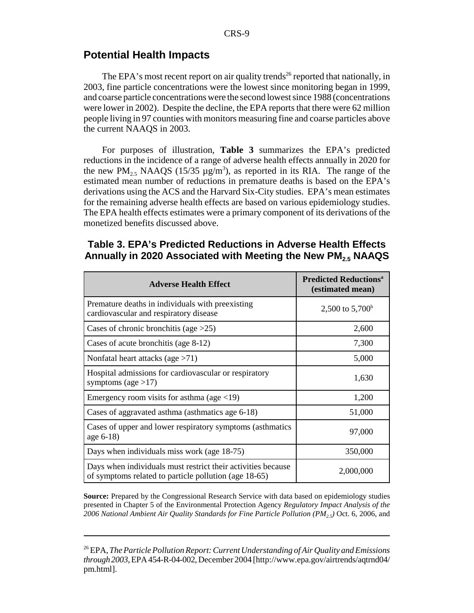#### **Potential Health Impacts**

The EPA's most recent report on air quality trends<sup>26</sup> reported that nationally, in 2003, fine particle concentrations were the lowest since monitoring began in 1999, and coarse particle concentrations were the second lowest since 1988 (concentrations were lower in 2002). Despite the decline, the EPA reports that there were 62 million people living in 97 counties with monitors measuring fine and coarse particles above the current NAAQS in 2003.

For purposes of illustration, **Table 3** summarizes the EPA's predicted reductions in the incidence of a range of adverse health effects annually in 2020 for the new  $PM_{2.5}$  NAAQS (15/35  $\mu$ g/m<sup>3</sup>), as reported in its RIA. The range of the estimated mean number of reductions in premature deaths is based on the EPA's derivations using the ACS and the Harvard Six-City studies. EPA's mean estimates for the remaining adverse health effects are based on various epidemiology studies. The EPA health effects estimates were a primary component of its derivations of the monetized benefits discussed above.

#### **Table 3. EPA's Predicted Reductions in Adverse Health Effects Annually in 2020 Associated with Meeting the New PM2.5 NAAQS**

| <b>Adverse Health Effect</b>                                                                                          | <b>Predicted Reductions<sup>a</sup></b><br>(estimated mean) |
|-----------------------------------------------------------------------------------------------------------------------|-------------------------------------------------------------|
| Premature deaths in individuals with preexisting<br>cardiovascular and respiratory disease                            | 2,500 to $5,700^{\circ}$                                    |
| Cases of chronic bronchitis (age $>25$ )                                                                              | 2,600                                                       |
| Cases of acute bronchitis (age 8-12)                                                                                  | 7,300                                                       |
| Nonfatal heart attacks (age $>71$ )                                                                                   | 5,000                                                       |
| Hospital admissions for cardiovascular or respiratory<br>symptoms (age $>17$ )                                        | 1,630                                                       |
| Emergency room visits for asthma (age $\langle 19 \rangle$ )                                                          | 1,200                                                       |
| Cases of aggravated asthma (asthmatics age 6-18)                                                                      | 51,000                                                      |
| Cases of upper and lower respiratory symptoms (asthmatics<br>age 6-18)                                                | 97,000                                                      |
| Days when individuals miss work (age 18-75)                                                                           | 350,000                                                     |
| Days when individuals must restrict their activities because<br>of symptoms related to particle pollution (age 18-65) | 2,000,000                                                   |

**Source:** Prepared by the Congressional Research Service with data based on epidemiology studies presented in Chapter 5 of the Environmental Protection Agency *Regulatory Impact Analysis of the 2006 National Ambient Air Quality Standards for Fine Particle Pollution (PM2.5)* Oct. 6, 2006, and

<sup>26</sup> EPA, *The Particle Pollution Report: Current Understanding of Air Quality and Emissions through 2003*, EPA 454-R-04-002, December 2004 [http://www.epa.gov/airtrends/aqtrnd04/ pm.html].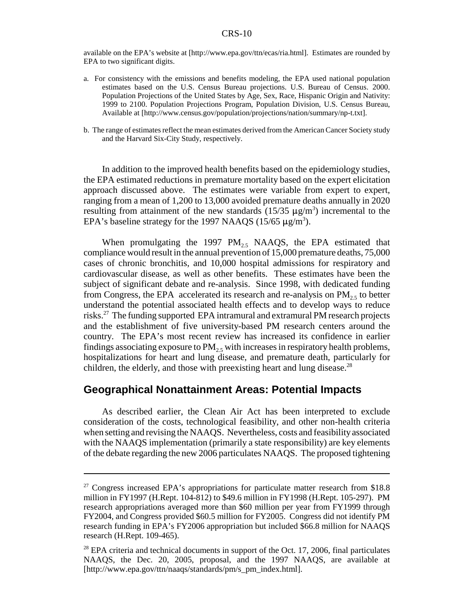available on the EPA's website at [http://www.epa.gov/ttn/ecas/ria.html]. Estimates are rounded by EPA to two significant digits.

- a. For consistency with the emissions and benefits modeling, the EPA used national population estimates based on the U.S. Census Bureau projections. U.S. Bureau of Census. 2000. Population Projections of the United States by Age, Sex, Race, Hispanic Origin and Nativity: 1999 to 2100. Population Projections Program, Population Division, U.S. Census Bureau, Available at [http://www.census.gov/population/projections/nation/summary/np-t.txt].
- b. The range of estimates reflect the mean estimates derived from the American Cancer Society study and the Harvard Six-City Study, respectively.

In addition to the improved health benefits based on the epidemiology studies, the EPA estimated reductions in premature mortality based on the expert elicitation approach discussed above. The estimates were variable from expert to expert, ranging from a mean of 1,200 to 13,000 avoided premature deaths annually in 2020 resulting from attainment of the new standards  $(15/35 \mu g/m^3)$  incremental to the EPA's baseline strategy for the 1997 NAAQS (15/65  $\mu$ g/m<sup>3</sup>).

When promulgating the 1997  $PM_{2.5}$  NAAQS, the EPA estimated that compliance would result in the annual prevention of 15,000 premature deaths, 75,000 cases of chronic bronchitis, and 10,000 hospital admissions for respiratory and cardiovascular disease, as well as other benefits. These estimates have been the subject of significant debate and re-analysis. Since 1998, with dedicated funding from Congress, the EPA accelerated its research and re-analysis on  $PM_{2,5}$  to better understand the potential associated health effects and to develop ways to reduce risks.27 The funding supported EPA intramural and extramural PM research projects and the establishment of five university-based PM research centers around the country. The EPA's most recent review has increased its confidence in earlier findings associating exposure to  $PM_2$ , with increases in respiratory health problems, hospitalizations for heart and lung disease, and premature death, particularly for children, the elderly, and those with preexisting heart and lung disease.<sup>28</sup>

#### **Geographical Nonattainment Areas: Potential Impacts**

As described earlier, the Clean Air Act has been interpreted to exclude consideration of the costs, technological feasibility, and other non-health criteria when setting and revising the NAAQS. Nevertheless, costs and feasibility associated with the NAAQS implementation (primarily a state responsibility) are key elements of the debate regarding the new 2006 particulates NAAQS. The proposed tightening

<sup>&</sup>lt;sup>27</sup> Congress increased EPA's appropriations for particulate matter research from \$18.8 million in FY1997 (H.Rept. 104-812) to \$49.6 million in FY1998 (H.Rept. 105-297). PM research appropriations averaged more than \$60 million per year from FY1999 through FY2004, and Congress provided \$60.5 million for FY2005. Congress did not identify PM research funding in EPA's FY2006 appropriation but included \$66.8 million for NAAQS research (H.Rept. 109-465).

 $28$  EPA criteria and technical documents in support of the Oct. 17, 2006, final particulates NAAQS, the Dec. 20, 2005, proposal, and the 1997 NAAQS, are available at [http://www.epa.gov/ttn/naaqs/standards/pm/s\_pm\_index.html].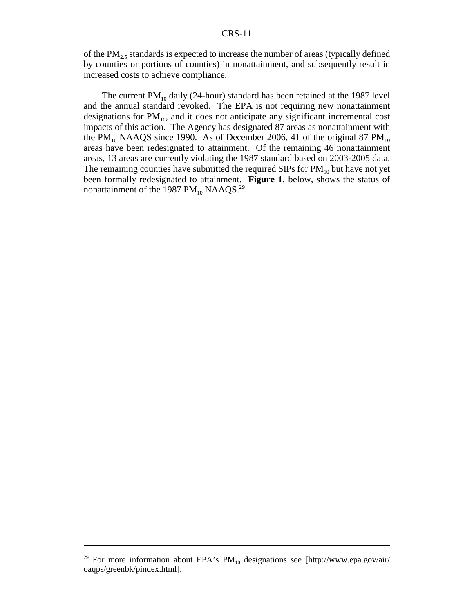of the  $PM_{2.5}$  standards is expected to increase the number of areas (typically defined by counties or portions of counties) in nonattainment, and subsequently result in increased costs to achieve compliance.

The current  $PM_{10}$  daily (24-hour) standard has been retained at the 1987 level and the annual standard revoked. The EPA is not requiring new nonattainment designations for  $PM_{10}$ , and it does not anticipate any significant incremental cost impacts of this action. The Agency has designated 87 areas as nonattainment with the PM<sub>10</sub> NAAQS since 1990. As of December 2006, 41 of the original 87 PM<sub>10</sub> areas have been redesignated to attainment. Of the remaining 46 nonattainment areas, 13 areas are currently violating the 1987 standard based on 2003-2005 data. The remaining counties have submitted the required SIPs for  $PM_{10}$  but have not yet been formally redesignated to attainment. **Figure 1**, below, shows the status of nonattainment of the 1987  $PM_{10}$  NAAQS.<sup>29</sup>

<sup>&</sup>lt;sup>29</sup> For more information about EPA's  $PM_{10}$  designations see [http://www.epa.gov/air/ oaqps/greenbk/pindex.html].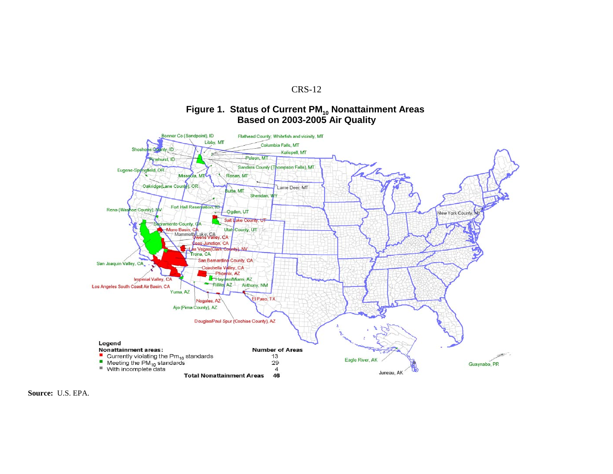#### Figure 1. Status of Current PM<sub>10</sub> Nonattainment Areas **Based on 2003-2005 Air Quality**



**Source:** U.S. EPA.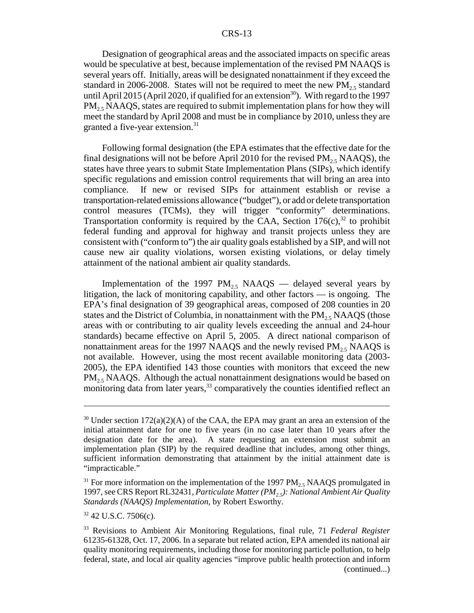Designation of geographical areas and the associated impacts on specific areas would be speculative at best, because implementation of the revised PM NAAQS is several years off. Initially, areas will be designated nonattainment if they exceed the standard in 2006-2008. States will not be required to meet the new  $PM_2$ , standard until April 2015 (April 2020, if qualified for an extension<sup>30</sup>). With regard to the 1997  $PM<sub>25</sub> NAAQS$ , states are required to submit implementation plans for how they will meet the standard by April 2008 and must be in compliance by 2010, unless they are granted a five-year extension.<sup>31</sup>

Following formal designation (the EPA estimates that the effective date for the final designations will not be before April 2010 for the revised  $PM_{2.5}$  NAAQS), the states have three years to submit State Implementation Plans (SIPs), which identify specific regulations and emission control requirements that will bring an area into compliance. If new or revised SIPs for attainment establish or revise a transportation-related emissions allowance ("budget"), or add or delete transportation control measures (TCMs), they will trigger "conformity" determinations. Transportation conformity is required by the CAA, Section  $176(c)$ ,<sup>32</sup> to prohibit federal funding and approval for highway and transit projects unless they are consistent with ("conform to") the air quality goals established by a SIP, and will not cause new air quality violations, worsen existing violations, or delay timely attainment of the national ambient air quality standards.

Implementation of the 1997 PM<sub>25</sub> NAAQS — delayed several years by litigation, the lack of monitoring capability, and other factors — is ongoing. The EPA's final designation of 39 geographical areas, composed of 208 counties in 20 states and the District of Columbia, in nonattainment with the  $PM_2$ , NAAQS (those areas with or contributing to air quality levels exceeding the annual and 24-hour standards) became effective on April 5, 2005. A direct national comparison of nonattainment areas for the 1997 NAAQS and the newly revised  $PM<sub>2.5</sub> NAAQS$  is not available. However, using the most recent available monitoring data (2003- 2005), the EPA identified 143 those counties with monitors that exceed the new  $PM<sub>2.5</sub> NAAQS.$  Although the actual nonattainment designations would be based on monitoring data from later years,<sup>33</sup> comparatively the counties identified reflect an

<sup>&</sup>lt;sup>30</sup> Under section 172(a)(2)(A) of the CAA, the EPA may grant an area an extension of the initial attainment date for one to five years (in no case later than 10 years after the designation date for the area). A state requesting an extension must submit an implementation plan (SIP) by the required deadline that includes, among other things, sufficient information demonstrating that attainment by the initial attainment date is "impracticable."

 $31$  For more information on the implementation of the 1997 PM<sub>2.5</sub> NAAQS promulgated in 1997, see CRS Report RL32431, *Particulate Matter (PM2.5): National Ambient Air Quality Standards (NAAQS) Implementation*, by Robert Esworthy.

 $32$  42 U.S.C. 7506(c).

<sup>33</sup> Revisions to Ambient Air Monitoring Regulations, final rule, 71 *Federal Register* 61235-61328, Oct. 17, 2006. In a separate but related action, EPA amended its national air quality monitoring requirements, including those for monitoring particle pollution, to help federal, state, and local air quality agencies "improve public health protection and inform (continued...)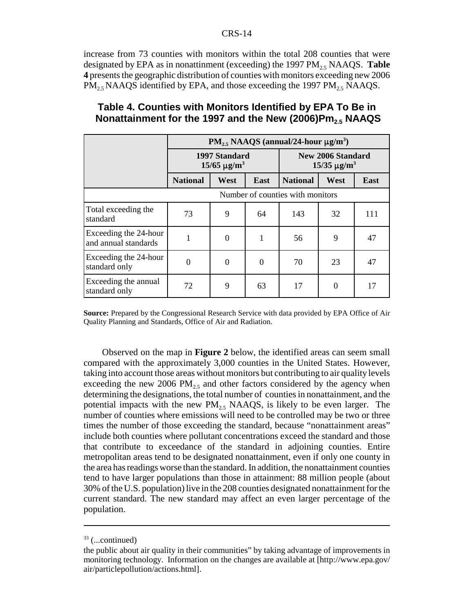increase from 73 counties with monitors within the total 208 counties that were designated by EPA as in nonattinment (exceeding) the  $1997 \text{ PM}_2$ , NAAQS. **Table 4** presents the geographic distribution of counties with monitors exceeding new 2006  $PM_{2.5}$  NAAQS identified by EPA, and those exceeding the 1997 PM<sub>2.5</sub> NAAQS.

|                                               | $PM_{2.5}$ NAAQS (annual/24-hour $\mu$ g/m <sup>3</sup> ) |          |          |                                               |      |             |
|-----------------------------------------------|-----------------------------------------------------------|----------|----------|-----------------------------------------------|------|-------------|
|                                               | 1997 Standard<br>$15/65 \,\mathrm{\mu g/m^3}$             |          |          | <b>New 2006 Standard</b><br>$15/35 \mu g/m^3$ |      |             |
|                                               | <b>National</b>                                           | West     | East     | <b>National</b>                               | West | <b>East</b> |
|                                               | Number of counties with monitors                          |          |          |                                               |      |             |
| Total exceeding the<br>standard               | 73                                                        | 9        | 64       | 143                                           | 32   | 111         |
| Exceeding the 24-hour<br>and annual standards |                                                           | $\Omega$ | 1        | 56                                            | 9    | 47          |
| Exceeding the 24-hour<br>standard only        | $\theta$                                                  | $\Omega$ | $\theta$ | 70                                            | 23   | 47          |
| Exceeding the annual<br>standard only         | 72                                                        | 9        | 63       | 17                                            |      | 17          |

#### **Table 4. Counties with Monitors Identified by EPA To Be in Nonattainment for the 1997 and the New (2006)Pm<sub>2.5</sub> NAAQS**

**Source:** Prepared by the Congressional Research Service with data provided by EPA Office of Air Quality Planning and Standards, Office of Air and Radiation.

Observed on the map in **Figure 2** below, the identified areas can seem small compared with the approximately 3,000 counties in the United States. However, taking into account those areas without monitors but contributing to air quality levels exceeding the new 2006 PM<sub>2.5</sub> and other factors considered by the agency when determining the designations, the total number of counties in nonattainment, and the potential impacts with the new  $PM<sub>25</sub>$  NAAQS, is likely to be even larger. The number of counties where emissions will need to be controlled may be two or three times the number of those exceeding the standard, because "nonattainment areas" include both counties where pollutant concentrations exceed the standard and those that contribute to exceedance of the standard in adjoining counties. Entire metropolitan areas tend to be designated nonattainment, even if only one county in the area has readings worse than the standard. In addition, the nonattainment counties tend to have larger populations than those in attainment: 88 million people (about 30% of the U.S. population) live in the 208 counties designated nonattainment for the current standard. The new standard may affect an even larger percentage of the population.

 $33$  (...continued)

the public about air quality in their communities" by taking advantage of improvements in monitoring technology. Information on the changes are available at [http://www.epa.gov/ air/particlepollution/actions.html].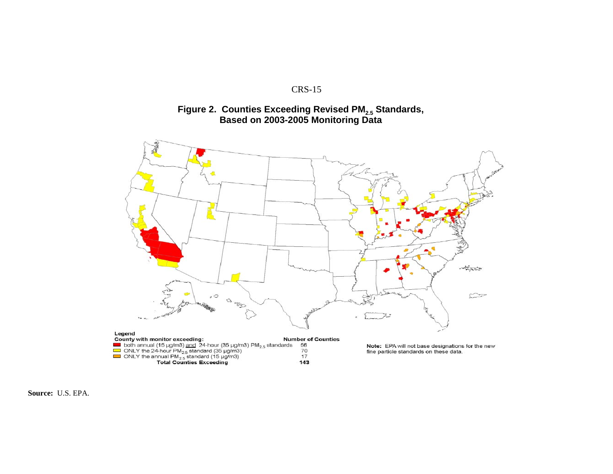

#### Figure 2. Counties Exceeding Revised PM<sub>2.5</sub> Standards, **Based on 2003-2005 Monitoring Data**



**Source:** U.S. EPA.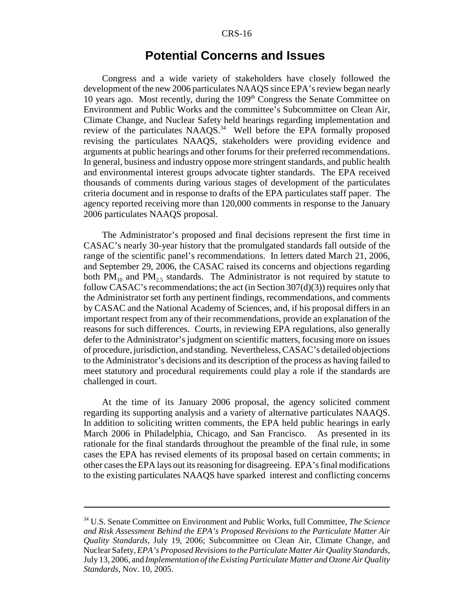### **Potential Concerns and Issues**

Congress and a wide variety of stakeholders have closely followed the development of the new 2006 particulates NAAQS since EPA's review began nearly 10 years ago. Most recently, during the  $109<sup>th</sup>$  Congress the Senate Committee on Environment and Public Works and the committee's Subcommittee on Clean Air, Climate Change, and Nuclear Safety held hearings regarding implementation and review of the particulates NAAQS.<sup>34</sup> Well before the EPA formally proposed revising the particulates NAAQS, stakeholders were providing evidence and arguments at public hearings and other forums for their preferred recommendations. In general, business and industry oppose more stringent standards, and public health and environmental interest groups advocate tighter standards. The EPA received thousands of comments during various stages of development of the particulates criteria document and in response to drafts of the EPA particulates staff paper. The agency reported receiving more than 120,000 comments in response to the January 2006 particulates NAAQS proposal.

The Administrator's proposed and final decisions represent the first time in CASAC's nearly 30-year history that the promulgated standards fall outside of the range of the scientific panel's recommendations. In letters dated March 21, 2006, and September 29, 2006, the CASAC raised its concerns and objections regarding both  $PM_{10}$  and  $PM_{25}$  standards. The Administrator is not required by statute to follow CASAC's recommendations; the act (in Section  $307(d)(3)$ ) requires only that the Administrator set forth any pertinent findings, recommendations, and comments by CASAC and the National Academy of Sciences, and, if his proposal differs in an important respect from any of their recommendations, provide an explanation of the reasons for such differences. Courts, in reviewing EPA regulations, also generally defer to the Administrator's judgment on scientific matters, focusing more on issues of procedure, jurisdiction, and standing. Nevertheless, CASAC's detailed objections to the Administrator's decisions and its description of the process as having failed to meet statutory and procedural requirements could play a role if the standards are challenged in court.

At the time of its January 2006 proposal, the agency solicited comment regarding its supporting analysis and a variety of alternative particulates NAAQS. In addition to soliciting written comments, the EPA held public hearings in early March 2006 in Philadelphia, Chicago, and San Francisco. As presented in its rationale for the final standards throughout the preamble of the final rule, in some cases the EPA has revised elements of its proposal based on certain comments; in other cases the EPA lays out its reasoning for disagreeing. EPA's final modifications to the existing particulates NAAQS have sparked interest and conflicting concerns

<sup>34</sup> U.S. Senate Committee on Environment and Public Works, full Committee, *The Science and Risk Assessment Behind the EPA's Proposed Revisions to the Particulate Matter Air Quality Standards*, July 19, 2006; Subcommittee on Clean Air, Climate Change, and Nuclear Safety, *EPA's Proposed Revisions to the Particulate Matter Air Quality Standards*, July 13, 2006, and *Implementation of the Existing Particulate Matter and Ozone Air Quality Standards*, Nov. 10, 2005.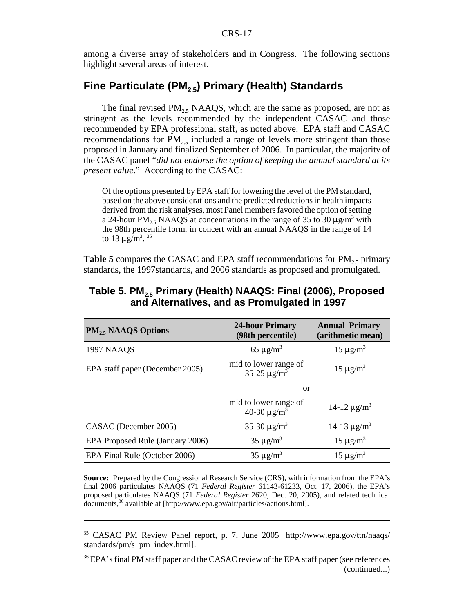among a diverse array of stakeholders and in Congress. The following sections highlight several areas of interest.

# **Fine Particulate (PM2.5) Primary (Health) Standards**

The final revised  $PM<sub>2.5</sub> NAAQS$ , which are the same as proposed, are not as stringent as the levels recommended by the independent CASAC and those recommended by EPA professional staff, as noted above. EPA staff and CASAC recommendations for  $PM_{2.5}$  included a range of levels more stringent than those proposed in January and finalized September of 2006. In particular, the majority of the CASAC panel "*did not endorse the option of keeping the annual standard at its present value*." According to the CASAC:

Of the options presented by EPA staff for lowering the level of the PM standard, based on the above considerations and the predicted reductions in health impacts derived from the risk analyses, most Panel members favored the option of setting a 24-hour PM<sub>2.5</sub> NAAQS at concentrations in the range of 35 to 30  $\mu$ g/m<sup>3</sup> with the 98th percentile form, in concert with an annual NAAQS in the range of 14 to 13  $\mu$ g/m<sup>3</sup>.<sup>35</sup>

**Table 5** compares the CASAC and EPA staff recommendations for  $PM_2$ , primary standards, the 1997standards, and 2006 standards as proposed and promulgated.

| $PM_{2.5}$ NAAQS Options         | <b>24-hour Primary</b><br>(98th percentile)           | <b>Annual Primary</b><br>(arithmetic mean) |
|----------------------------------|-------------------------------------------------------|--------------------------------------------|
| <b>1997 NAAQS</b>                | 65 $\mu$ g/m <sup>3</sup>                             | $15 \mu g/m^3$                             |
| EPA staff paper (December 2005)  | mid to lower range of<br>35-25 $\mu$ g/m <sup>3</sup> | $15 \mu g/m^3$                             |
|                                  | or                                                    |                                            |
|                                  | mid to lower range of<br>40-30 $\mu$ g/m <sup>3</sup> | 14-12 $\mu$ g/m <sup>3</sup>               |
| CASAC (December 2005)            | 35-30 $\mu$ g/m <sup>3</sup>                          | 14-13 $\mu$ g/m <sup>3</sup>               |
| EPA Proposed Rule (January 2006) | $35 \mu g/m^3$                                        | $15 \mu g/m^3$                             |
| EPA Final Rule (October 2006)    | $35 \mu g/m^3$                                        | $15 \mu g/m^3$                             |

#### **Table 5. PM2.5 Primary (Health) NAAQS: Final (2006), Proposed and Alternatives, and as Promulgated in 1997**

**Source:** Prepared by the Congressional Research Service (CRS), with information from the EPA's final 2006 particulates NAAQS (71 *Federal Register* 61143-61233, Oct. 17, 2006), the EPA's proposed particulates NAAQS (71 *Federal Register* 2620, Dec. 20, 2005), and related technical documents,<sup>36</sup> available at [http://www.epa.gov/air/particles/actions.html].

<sup>35</sup> CASAC PM Review Panel report, p. 7, June 2005 [http://www.epa.gov/ttn/naaqs/ standards/pm/s\_pm\_index.html].

<sup>&</sup>lt;sup>36</sup> EPA's final PM staff paper and the CASAC review of the EPA staff paper (see references (continued...)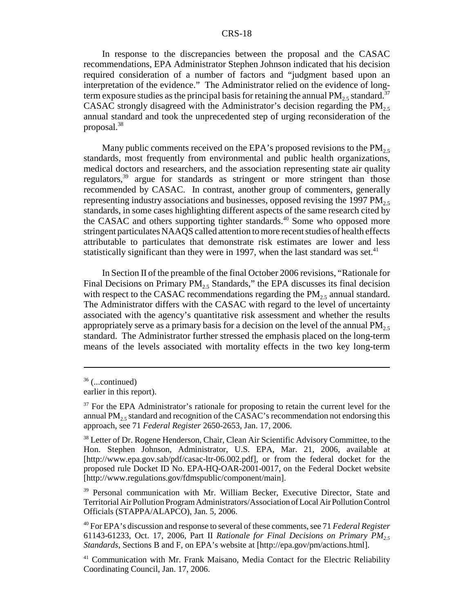In response to the discrepancies between the proposal and the CASAC recommendations, EPA Administrator Stephen Johnson indicated that his decision required consideration of a number of factors and "judgment based upon an interpretation of the evidence." The Administrator relied on the evidence of longterm exposure studies as the principal basis for retaining the annual PM<sub>2.5</sub> standard.<sup>37</sup> CASAC strongly disagreed with the Administrator's decision regarding the  $PM<sub>2.5</sub>$ annual standard and took the unprecedented step of urging reconsideration of the proposal.38

Many public comments received on the EPA's proposed revisions to the  $PM_{2.5}$ standards, most frequently from environmental and public health organizations, medical doctors and researchers, and the association representing state air quality regulators,<sup>39</sup> argue for standards as stringent or more stringent than those recommended by CASAC. In contrast, another group of commenters, generally representing industry associations and businesses, opposed revising the 1997 PM<sub>2.5</sub> standards, in some cases highlighting different aspects of the same research cited by the CASAC and others supporting tighter standards.<sup>40</sup> Some who opposed more stringent particulates NAAQS called attention to more recent studies of health effects attributable to particulates that demonstrate risk estimates are lower and less statistically significant than they were in 1997, when the last standard was set. $41$ 

In Section II of the preamble of the final October 2006 revisions, "Rationale for Final Decisions on Primary  $PM_2$ , Standards," the EPA discusses its final decision with respect to the CASAC recommendations regarding the  $PM<sub>25</sub>$  annual standard. The Administrator differs with the CASAC with regard to the level of uncertainty associated with the agency's quantitative risk assessment and whether the results appropriately serve as a primary basis for a decision on the level of the annual  $PM_{2,5}$ standard. The Administrator further stressed the emphasis placed on the long-term means of the levels associated with mortality effects in the two key long-term

<sup>39</sup> Personal communication with Mr. William Becker, Executive Director, State and Territorial Air Pollution Program Administrators/Association of Local Air Pollution Control Officials (STAPPA/ALAPCO), Jan. 5, 2006.

 $36$  (...continued)

earlier in this report).

 $37$  For the EPA Administrator's rationale for proposing to retain the current level for the annual  $PM<sub>2.5</sub>$  standard and recognition of the CASAC's recommendation not endorsing this approach, see 71 *Federal Register* 2650-2653, Jan. 17, 2006.

<sup>&</sup>lt;sup>38</sup> Letter of Dr. Rogene Henderson, Chair, Clean Air Scientific Advisory Committee, to the Hon. Stephen Johnson, Administrator, U.S. EPA, Mar. 21, 2006, available at [http://www.epa.gov.sab/pdf/casac-ltr-06.002.pdf], or from the federal docket for the proposed rule Docket ID No. EPA-HQ-OAR-2001-0017, on the Federal Docket website [http://www.regulations.gov/fdmspublic/component/main].

<sup>40</sup> For EPA's discussion and response to several of these comments, see 71 *Federal Register* 61143-61233, Oct. 17, 2006, Part II *Rationale for Final Decisions on Primary PM2.5 Standards*, Sections B and F, on EPA's website at [http://epa.gov/pm/actions.html].

<sup>&</sup>lt;sup>41</sup> Communication with Mr. Frank Maisano, Media Contact for the Electric Reliability Coordinating Council, Jan. 17, 2006.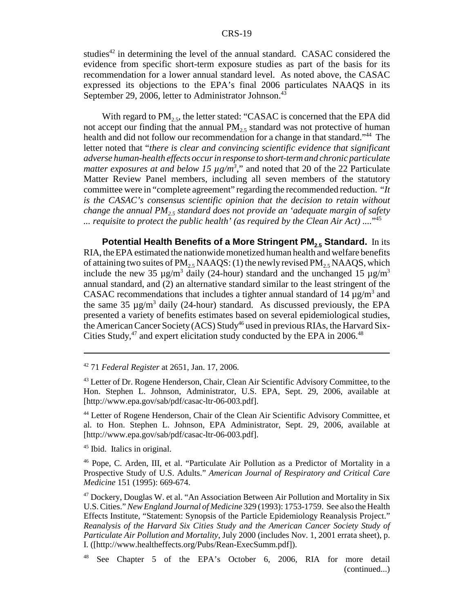studies<sup>42</sup> in determining the level of the annual standard. CASAC considered the evidence from specific short-term exposure studies as part of the basis for its recommendation for a lower annual standard level. As noted above, the CASAC expressed its objections to the EPA's final 2006 particulates NAAQS in its September 29, 2006, letter to Administrator Johnson.<sup>43</sup>

With regard to  $PM<sub>2.5</sub>$ , the letter stated: "CASAC is concerned that the EPA did not accept our finding that the annual  $PM_{2.5}$  standard was not protective of human health and did not follow our recommendation for a change in that standard."<sup>44</sup> The letter noted that "*there is clear and convincing scientific evidence that significant adverse human-health effects occur in response to short-term and chronic particulate matter exposures at and below 15*  $\mu$ *g/m<sup>3</sup>," and noted that 20 of the 22 Particulate* Matter Review Panel members, including all seven members of the statutory committee were in "complete agreement" regarding the recommended reduction. "*It is the CASAC's consensus scientific opinion that the decision to retain without change the annual PM<sub>25</sub> standard does not provide an 'adequate margin of safety ... requisite to protect the public health' (as required by the Clean Air Act) ....*"45

**Potential Health Benefits of a More Stringent PM<sub>2.5</sub> Standard.** In its RIA, the EPA estimated the nationwide monetized human health and welfare benefits of attaining two suites of  $PM<sub>2.5</sub> NAAQS$ : (1) the newly revised  $PM<sub>2.5</sub> NAAQS$ , which include the new 35  $\mu$ g/m<sup>3</sup> daily (24-hour) standard and the unchanged 15  $\mu$ g/m<sup>3</sup> annual standard, and (2) an alternative standard similar to the least stringent of the CASAC recommendations that includes a tighter annual standard of  $14 \mu g/m^3$  and the same 35  $\mu$ g/m<sup>3</sup> daily (24-hour) standard. As discussed previously, the EPA presented a variety of benefits estimates based on several epidemiological studies, the American Cancer Society (ACS) Study<sup>46</sup> used in previous RIAs, the Harvard Six-Cities Study, $47$  and expert elicitation study conducted by the EPA in 2006. $48$ 

45 Ibid. Italics in original.

46 Pope, C. Arden, III, et al. "Particulate Air Pollution as a Predictor of Mortality in a Prospective Study of U.S. Adults." *American Journal of Respiratory and Critical Care Medicine* 151 (1995): 669-674.

<sup>42 71</sup> *Federal Register* at 2651, Jan. 17, 2006.

<sup>&</sup>lt;sup>43</sup> Letter of Dr. Rogene Henderson, Chair, Clean Air Scientific Advisory Committee, to the Hon. Stephen L. Johnson, Administrator, U.S. EPA, Sept. 29, 2006, available at [http://www.epa.gov/sab/pdf/casac-ltr-06-003.pdf].

<sup>44</sup> Letter of Rogene Henderson, Chair of the Clean Air Scientific Advisory Committee, et al. to Hon. Stephen L. Johnson, EPA Administrator, Sept. 29, 2006, available at [http://www.epa.gov/sab/pdf/casac-ltr-06-003.pdf].

<sup>47</sup> Dockery, Douglas W. et al. "An Association Between Air Pollution and Mortality in Six U.S. Cities." *New England Journal of Medicine* 329 (1993): 1753-1759. See also the Health Effects Institute, "Statement: Synopsis of the Particle Epidemiology Reanalysis Project." *Reanalysis of the Harvard Six Cities Study and the American Cancer Society Study of Particulate Air Pollution and Mortality*, July 2000 (includes Nov. 1, 2001 errata sheet), p. I. ([http://www.healtheffects.org/Pubs/Rean-ExecSumm.pdf]).

<sup>48</sup> See Chapter 5 of the EPA's October 6, 2006, RIA for more detail (continued...)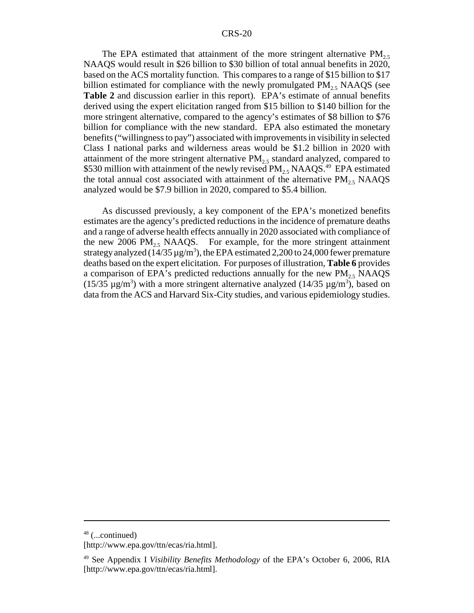The EPA estimated that attainment of the more stringent alternative  $PM_{2.5}$ NAAQS would result in \$26 billion to \$30 billion of total annual benefits in 2020, based on the ACS mortality function. This compares to a range of \$15 billion to \$17 billion estimated for compliance with the newly promulgated  $PM<sub>25</sub>$  NAAQS (see **Table 2** and discussion earlier in this report). EPA's estimate of annual benefits derived using the expert elicitation ranged from \$15 billion to \$140 billion for the more stringent alternative, compared to the agency's estimates of \$8 billion to \$76 billion for compliance with the new standard. EPA also estimated the monetary benefits ("willingness to pay") associated with improvements in visibility in selected Class I national parks and wilderness areas would be \$1.2 billion in 2020 with attainment of the more stringent alternative  $PM<sub>2.5</sub>$  standard analyzed, compared to \$530 million with attainment of the newly revised  $PM_{2.5}$  NAAQS.<sup>49</sup> EPA estimated the total annual cost associated with attainment of the alternative  $PM_2$ , NAAQS analyzed would be \$7.9 billion in 2020, compared to \$5.4 billion.

As discussed previously, a key component of the EPA's monetized benefits estimates are the agency's predicted reductions in the incidence of premature deaths and a range of adverse health effects annually in 2020 associated with compliance of the new 2006  $PM_{2.5}$  NAAQS. For example, for the more stringent attainment strategy analyzed  $(14/35 \,\mathrm{\upmu g/m^3})$ , the EPA estimated 2,200 to 24,000 fewer premature deaths based on the expert elicitation. For purposes of illustration, **Table 6** provides a comparison of EPA's predicted reductions annually for the new  $PM_{2.5}$  NAAQS (15/35  $\mu$ g/m<sup>3</sup>) with a more stringent alternative analyzed (14/35  $\mu$ g/m<sup>3</sup>), based on data from the ACS and Harvard Six-City studies, and various epidemiology studies.

<sup>48 (...</sup>continued)

<sup>[</sup>http://www.epa.gov/ttn/ecas/ria.html].

<sup>49</sup> See Appendix I *Visibility Benefits Methodology* of the EPA's October 6, 2006, RIA [http://www.epa.gov/ttn/ecas/ria.html].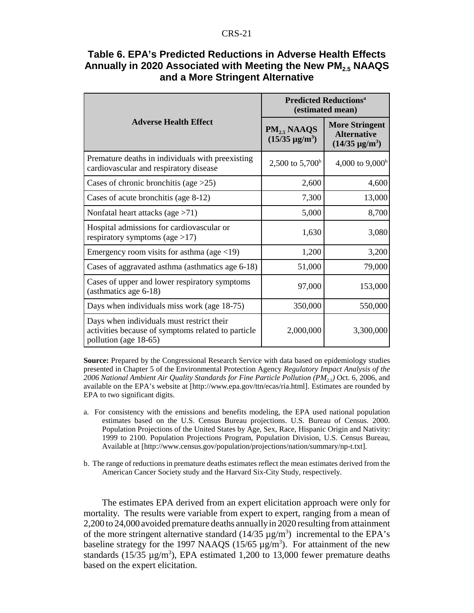|                                                                                                                          | <b>Predicted Reductions<sup>a</sup></b><br>(estimated mean) |                                                                      |  |
|--------------------------------------------------------------------------------------------------------------------------|-------------------------------------------------------------|----------------------------------------------------------------------|--|
| <b>Adverse Health Effect</b>                                                                                             | $PM_{2.5}$ NAAQS<br>$(15/35 \text{ µg/m}^3)$                | <b>More Stringent</b><br><b>Alternative</b><br>$(14/35 \,\mu g/m^3)$ |  |
| Premature deaths in individuals with preexisting<br>cardiovascular and respiratory disease                               | 2,500 to $5,700^{\circ}$                                    | 4,000 to $9,000b$                                                    |  |
| Cases of chronic bronchitis (age $>25$ )                                                                                 | 2,600                                                       | 4,600                                                                |  |
| Cases of acute bronchitis (age 8-12)                                                                                     | 7,300                                                       | 13,000                                                               |  |
| Nonfatal heart attacks (age $>71$ )                                                                                      | 5,000                                                       | 8,700                                                                |  |
| Hospital admissions for cardiovascular or<br>respiratory symptoms (age $>17$ )                                           | 1,630                                                       | 3,080                                                                |  |
| Emergency room visits for asthma (age $\langle 19 \rangle$ )                                                             | 1,200                                                       | 3,200                                                                |  |
| Cases of aggravated asthma (asthmatics age 6-18)                                                                         | 51,000                                                      | 79,000                                                               |  |
| Cases of upper and lower respiratory symptoms<br>(asthmatics age 6-18)                                                   | 97,000                                                      | 153,000                                                              |  |
| Days when individuals miss work (age 18-75)                                                                              | 350,000                                                     | 550,000                                                              |  |
| Days when individuals must restrict their<br>activities because of symptoms related to particle<br>pollution (age 18-65) | 2,000,000                                                   | 3,300,000                                                            |  |

#### **Table 6. EPA's Predicted Reductions in Adverse Health Effects Annually in 2020 Associated with Meeting the New PM2.5 NAAQS and a More Stringent Alternative**

**Source:** Prepared by the Congressional Research Service with data based on epidemiology studies presented in Chapter 5 of the Environmental Protection Agency *Regulatory Impact Analysis of the 2006 National Ambient Air Quality Standards for Fine Particle Pollution (PM2.5)* Oct. 6, 2006, and available on the EPA's website at [http://www.epa.gov/ttn/ecas/ria.html]. Estimates are rounded by EPA to two significant digits.

- a. For consistency with the emissions and benefits modeling, the EPA used national population estimates based on the U.S. Census Bureau projections. U.S. Bureau of Census. 2000. Population Projections of the United States by Age, Sex, Race, Hispanic Origin and Nativity: 1999 to 2100. Population Projections Program, Population Division, U.S. Census Bureau, Available at [http://www.census.gov/population/projections/nation/summary/np-t.txt].
- b. The range of reductions in premature deaths estimates reflect the mean estimates derived from the American Cancer Society study and the Harvard Six-City Study, respectively.

The estimates EPA derived from an expert elicitation approach were only for mortality. The results were variable from expert to expert, ranging from a mean of 2,200 to 24,000 avoided premature deaths annually in 2020 resulting from attainment of the more stringent alternative standard  $(14/35 \mu g/m^3)$  incremental to the EPA's baseline strategy for the 1997 NAAQS  $(15/65 \mu g/m^3)$ . For attainment of the new standards ( $15/35 \mu g/m^3$ ), EPA estimated 1,200 to 13,000 fewer premature deaths based on the expert elicitation.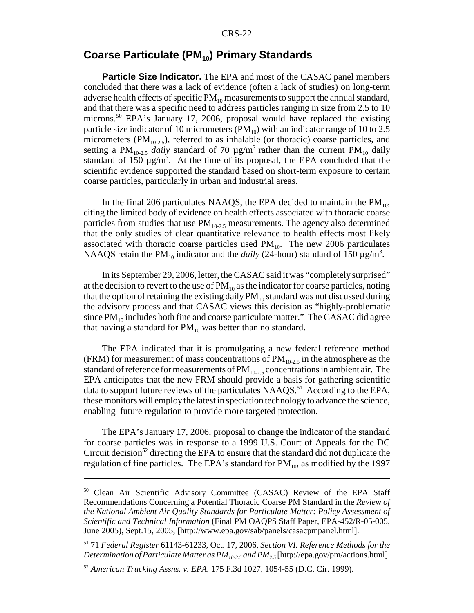#### **Coarse Particulate (PM<sub>10</sub>) Primary Standards**

**Particle Size Indicator.** The EPA and most of the CASAC panel members concluded that there was a lack of evidence (often a lack of studies) on long-term adverse health effects of specific  $PM_{10}$  measurements to support the annual standard, and that there was a specific need to address particles ranging in size from 2.5 to 10 microns.<sup>50</sup> EPA's January 17, 2006, proposal would have replaced the existing particle size indicator of 10 micrometers ( $PM_{10}$ ) with an indicator range of 10 to 2.5 micrometers ( $PM_{10-2.5}$ ), referred to as inhalable (or thoracic) coarse particles, and setting a PM<sub>10-2.5</sub> *daily* standard of 70  $\mu$ g/m<sup>3</sup> rather than the current PM<sub>10</sub> daily standard of 150  $\mu$ g/m<sup>3</sup>. At the time of its proposal, the EPA concluded that the scientific evidence supported the standard based on short-term exposure to certain coarse particles, particularly in urban and industrial areas.

In the final 206 particulates NAAQS, the EPA decided to maintain the  $PM_{10}$ , citing the limited body of evidence on health effects associated with thoracic coarse particles from studies that use  $PM_{10-2.5}$  measurements. The agency also determined that the only studies of clear quantitative relevance to health effects most likely associated with thoracic coarse particles used  $PM_{10}$ . The new 2006 particulates NAAQS retain the  $PM_{10}$  indicator and the *daily* (24-hour) standard of 150  $\mu$ g/m<sup>3</sup>.

In its September 29, 2006, letter, the CASAC said it was "completely surprised" at the decision to revert to the use of  $PM_{10}$  as the indicator for coarse particles, noting that the option of retaining the existing daily  $PM_{10}$  standard was not discussed during the advisory process and that CASAC views this decision as "highly-problematic since  $PM_{10}$  includes both fine and coarse particulate matter." The CASAC did agree that having a standard for  $PM_{10}$  was better than no standard.

The EPA indicated that it is promulgating a new federal reference method (FRM) for measurement of mass concentrations of  $PM_{10-2.5}$  in the atmosphere as the standard of reference for measurements of  $PM_{10-2.5}$  concentrations in ambient air. The EPA anticipates that the new FRM should provide a basis for gathering scientific data to support future reviews of the particulates NAAQS.<sup>51</sup> According to the EPA, these monitors will employ the latest in speciation technology to advance the science, enabling future regulation to provide more targeted protection.

The EPA's January 17, 2006, proposal to change the indicator of the standard for coarse particles was in response to a 1999 U.S. Court of Appeals for the DC Circuit decision<sup>52</sup> directing the EPA to ensure that the standard did not duplicate the regulation of fine particles. The EPA's standard for  $PM_{10}$ , as modified by the 1997

<sup>&</sup>lt;sup>50</sup> Clean Air Scientific Advisory Committee (CASAC) Review of the EPA Staff Recommendations Concerning a Potential Thoracic Coarse PM Standard in the *Review of the National Ambient Air Quality Standards for Particulate Matter: Policy Assessment of Scientific and Technical Information* (Final PM OAQPS Staff Paper, EPA-452/R-05-005, June 2005), Sept.15, 2005, [http://www.epa.gov/sab/panels/casacpmpanel.html].

<sup>51 71</sup> *Federal Register* 61143-61233, Oct. 17, 2006, *Section VI. Reference Methods for the Determination of Particulate Matter as PM<sub>10-2.5</sub> and PM<sub>2.5</sub> [http://epa.gov/pm/actions.html]*.

<sup>52</sup> *American Trucking Assns. v. EPA*, 175 F.3d 1027, 1054-55 (D.C. Cir. 1999).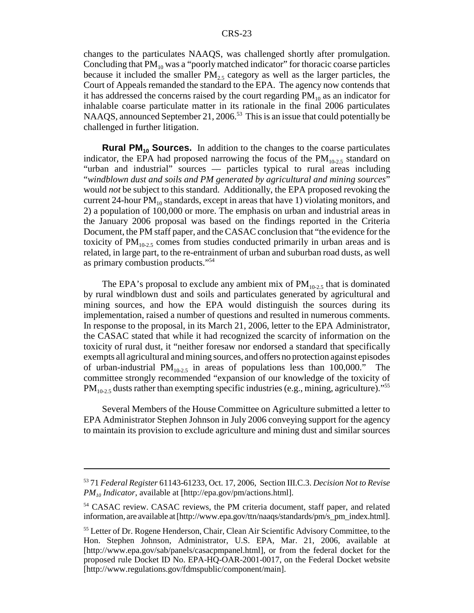changes to the particulates NAAQS, was challenged shortly after promulgation. Concluding that  $PM_{10}$  was a "poorly matched indicator" for thoracic coarse particles because it included the smaller  $PM<sub>2.5</sub>$  category as well as the larger particles, the Court of Appeals remanded the standard to the EPA. The agency now contends that it has addressed the concerns raised by the court regarding  $PM_{10}$  as an indicator for inhalable coarse particulate matter in its rationale in the final 2006 particulates NAAQS, announced September 21, 2006.<sup>53</sup> This is an issue that could potentially be challenged in further litigation.

**Rural PM<sub>10</sub> Sources.** In addition to the changes to the coarse particulates indicator, the EPA had proposed narrowing the focus of the  $PM_{10-2.5}$  standard on "urban and industrial" sources — particles typical to rural areas including "*windblown dust and soils and PM generated by agricultural and mining sources*" would *not* be subject to this standard. Additionally, the EPA proposed revoking the current 24-hour  $PM_{10}$  standards, except in areas that have 1) violating monitors, and 2) a population of 100,000 or more. The emphasis on urban and industrial areas in the January 2006 proposal was based on the findings reported in the Criteria Document, the PM staff paper, and the CASAC conclusion that "the evidence for the toxicity of  $PM_{10-2.5}$  comes from studies conducted primarily in urban areas and is related, in large part, to the re-entrainment of urban and suburban road dusts, as well as primary combustion products."54

The EPA's proposal to exclude any ambient mix of  $PM_{10-2.5}$  that is dominated by rural windblown dust and soils and particulates generated by agricultural and mining sources, and how the EPA would distinguish the sources during its implementation, raised a number of questions and resulted in numerous comments. In response to the proposal, in its March 21, 2006, letter to the EPA Administrator, the CASAC stated that while it had recognized the scarcity of information on the toxicity of rural dust, it "neither foresaw nor endorsed a standard that specifically exempts all agricultural and mining sources, and offers no protection against episodes of urban-industrial  $PM_{10-2.5}$  in areas of populations less than 100,000." The committee strongly recommended "expansion of our knowledge of the toxicity of  $PM_{10-2.5}$  dusts rather than exempting specific industries (e.g., mining, agriculture)."<sup>55</sup>

Several Members of the House Committee on Agriculture submitted a letter to EPA Administrator Stephen Johnson in July 2006 conveying support for the agency to maintain its provision to exclude agriculture and mining dust and similar sources

<sup>53 71</sup> *Federal Register* 61143-61233, Oct. 17, 2006, Section III.C.3. *Decision Not to Revise PM10 Indicator*, available at [http://epa.gov/pm/actions.html].

<sup>&</sup>lt;sup>54</sup> CASAC review. CASAC reviews, the PM criteria document, staff paper, and related information, are available at [http://www.epa.gov/ttn/naaqs/standards/pm/s\_pm\_index.html].

<sup>&</sup>lt;sup>55</sup> Letter of Dr. Rogene Henderson, Chair, Clean Air Scientific Advisory Committee, to the Hon. Stephen Johnson, Administrator, U.S. EPA, Mar. 21, 2006, available at [http://www.epa.gov/sab/panels/casacpmpanel.html], or from the federal docket for the proposed rule Docket ID No. EPA-HQ-OAR-2001-0017, on the Federal Docket website [http://www.regulations.gov/fdmspublic/component/main].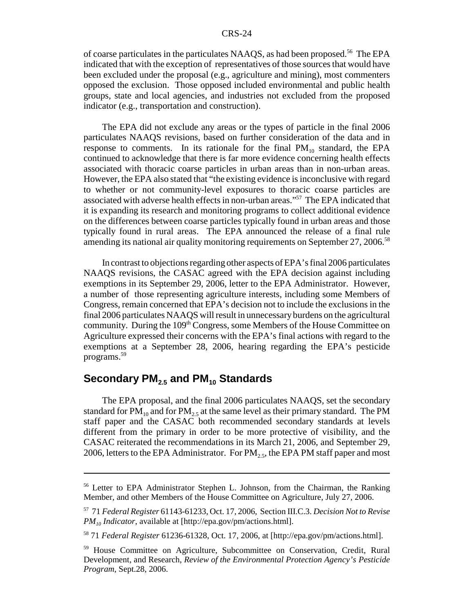of coarse particulates in the particulates NAAQS, as had been proposed.<sup>56</sup> The EPA indicated that with the exception of representatives of those sources that would have been excluded under the proposal (e.g., agriculture and mining), most commenters opposed the exclusion. Those opposed included environmental and public health groups, state and local agencies, and industries not excluded from the proposed indicator (e.g., transportation and construction).

The EPA did not exclude any areas or the types of particle in the final 2006 particulates NAAQS revisions, based on further consideration of the data and in response to comments. In its rationale for the final  $PM_{10}$  standard, the EPA continued to acknowledge that there is far more evidence concerning health effects associated with thoracic coarse particles in urban areas than in non-urban areas. However, the EPA also stated that "the existing evidence is inconclusive with regard to whether or not community-level exposures to thoracic coarse particles are associated with adverse health effects in non-urban areas."57 The EPA indicated that it is expanding its research and monitoring programs to collect additional evidence on the differences between coarse particles typically found in urban areas and those typically found in rural areas. The EPA announced the release of a final rule amending its national air quality monitoring requirements on September  $27, 2006$ <sup>58</sup>

In contrast to objections regarding other aspects of EPA's final 2006 particulates NAAQS revisions, the CASAC agreed with the EPA decision against including exemptions in its September 29, 2006, letter to the EPA Administrator. However, a number of those representing agriculture interests, including some Members of Congress, remain concerned that EPA's decision not to include the exclusions in the final 2006 particulates NAAQS will result in unnecessary burdens on the agricultural community. During the  $109<sup>th</sup> Congress$ , some Members of the House Committee on Agriculture expressed their concerns with the EPA's final actions with regard to the exemptions at a September 28, 2006, hearing regarding the EPA's pesticide programs.59

# **Secondary PM<sub>2.5</sub> and PM<sub>10</sub> Standards**

The EPA proposal, and the final 2006 particulates NAAQS, set the secondary standard for  $PM_{10}$  and for  $PM_{25}$  at the same level as their primary standard. The PM staff paper and the CASAC both recommended secondary standards at levels different from the primary in order to be more protective of visibility, and the CASAC reiterated the recommendations in its March 21, 2006, and September 29, 2006, letters to the EPA Administrator. For  $PM_{2.5}$ , the EPA PM staff paper and most

<sup>56</sup> Letter to EPA Administrator Stephen L. Johnson, from the Chairman, the Ranking Member, and other Members of the House Committee on Agriculture, July 27, 2006.

<sup>57 71</sup> *Federal Register* 61143-61233, Oct. 17, 2006, Section III.C.3. *Decision Not to Revise PM10 Indicator*, available at [http://epa.gov/pm/actions.html].

<sup>58 71</sup> *Federal Register* 61236-61328, Oct. 17, 2006, at [http://epa.gov/pm/actions.html].

<sup>59</sup> House Committee on Agriculture, Subcommittee on Conservation, Credit, Rural Development, and Research, *Review of the Environmental Protection Agency's Pesticide Program*, Sept.28, 2006.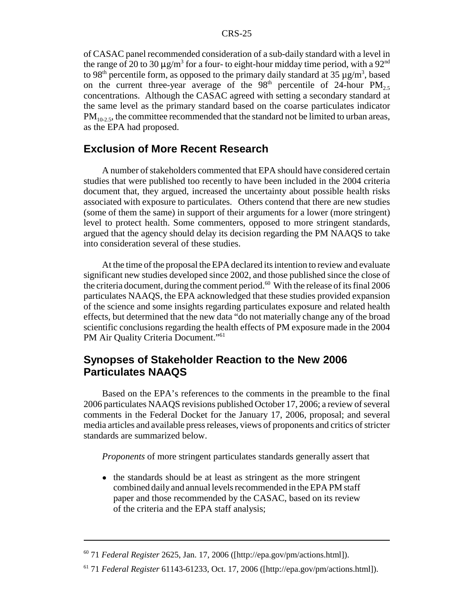of CASAC panel recommended consideration of a sub-daily standard with a level in the range of 20 to 30  $\mu$ g/m<sup>3</sup> for a four- to eight-hour midday time period, with a 92<sup>nd</sup> to 98<sup>th</sup> percentile form, as opposed to the primary daily standard at 35  $\mu$ g/m<sup>3</sup>, based on the current three-year average of the  $98<sup>th</sup>$  percentile of 24-hour  $PM_{2.5}$ concentrations. Although the CASAC agreed with setting a secondary standard at the same level as the primary standard based on the coarse particulates indicator  $PM<sub>10-2.5</sub>$ , the committee recommended that the standard not be limited to urban areas, as the EPA had proposed.

#### **Exclusion of More Recent Research**

A number of stakeholders commented that EPA should have considered certain studies that were published too recently to have been included in the 2004 criteria document that, they argued, increased the uncertainty about possible health risks associated with exposure to particulates. Others contend that there are new studies (some of them the same) in support of their arguments for a lower (more stringent) level to protect health. Some commenters, opposed to more stringent standards, argued that the agency should delay its decision regarding the PM NAAQS to take into consideration several of these studies.

At the time of the proposal the EPA declared its intention to review and evaluate significant new studies developed since 2002, and those published since the close of the criteria document, during the comment period.<sup>60</sup> With the release of its final 2006 particulates NAAQS, the EPA acknowledged that these studies provided expansion of the science and some insights regarding particulates exposure and related health effects, but determined that the new data "do not materially change any of the broad scientific conclusions regarding the health effects of PM exposure made in the 2004 PM Air Quality Criteria Document."<sup>61</sup>

## **Synopses of Stakeholder Reaction to the New 2006 Particulates NAAQS**

Based on the EPA's references to the comments in the preamble to the final 2006 particulates NAAQS revisions published October 17, 2006; a review of several comments in the Federal Docket for the January 17, 2006, proposal; and several media articles and available press releases, views of proponents and critics of stricter standards are summarized below.

*Proponents* of more stringent particulates standards generally assert that

• the standards should be at least as stringent as the more stringent combined daily and annual levels recommended in the EPA PM staff paper and those recommended by the CASAC, based on its review of the criteria and the EPA staff analysis;

<sup>60 71</sup> *Federal Register* 2625, Jan. 17, 2006 ([http://epa.gov/pm/actions.html]).

<sup>61 71</sup> *Federal Register* 61143-61233, Oct. 17, 2006 ([http://epa.gov/pm/actions.html]).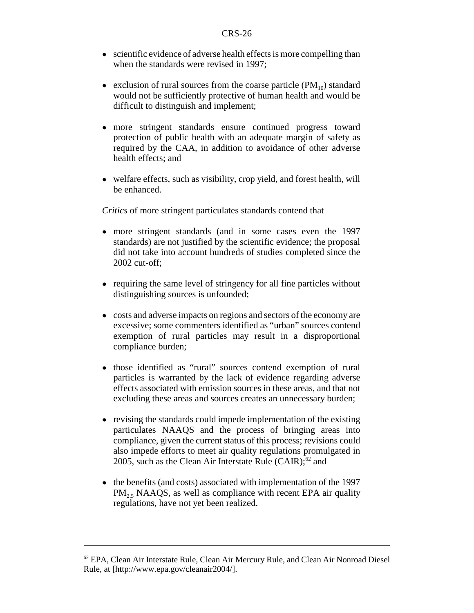- scientific evidence of adverse health effects is more compelling than when the standards were revised in 1997;
- exclusion of rural sources from the coarse particle  $(PM_{10})$  standard would not be sufficiently protective of human health and would be difficult to distinguish and implement;
- ! more stringent standards ensure continued progress toward protection of public health with an adequate margin of safety as required by the CAA, in addition to avoidance of other adverse health effects; and
- welfare effects, such as visibility, crop yield, and forest health, will be enhanced.

*Critics* of more stringent particulates standards contend that

- more stringent standards (and in some cases even the 1997 standards) are not justified by the scientific evidence; the proposal did not take into account hundreds of studies completed since the 2002 cut-off;
- requiring the same level of stringency for all fine particles without distinguishing sources is unfounded;
- ! costs and adverse impacts on regions and sectors of the economy are excessive; some commenters identified as "urban" sources contend exemption of rural particles may result in a disproportional compliance burden;
- ! those identified as "rural" sources contend exemption of rural particles is warranted by the lack of evidence regarding adverse effects associated with emission sources in these areas, and that not excluding these areas and sources creates an unnecessary burden;
- revising the standards could impede implementation of the existing particulates NAAQS and the process of bringing areas into compliance, given the current status of this process; revisions could also impede efforts to meet air quality regulations promulgated in 2005, such as the Clean Air Interstate Rule  $(CAIR)$ ;<sup>62</sup> and
- the benefits (and costs) associated with implementation of the 1997  $PM<sub>25</sub> NAAQS$ , as well as compliance with recent EPA air quality regulations, have not yet been realized.

 $62$  EPA, Clean Air Interstate Rule, Clean Air Mercury Rule, and Clean Air Nonroad Diesel Rule, at [http://www.epa.gov/cleanair2004/].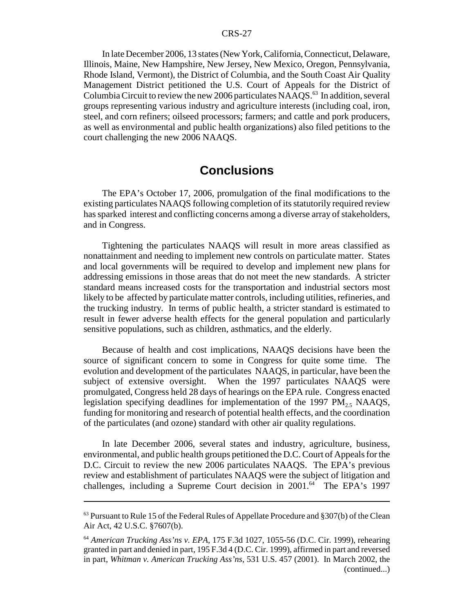In late December 2006, 13 states (New York, California, Connecticut, Delaware, Illinois, Maine, New Hampshire, New Jersey, New Mexico, Oregon, Pennsylvania, Rhode Island, Vermont), the District of Columbia, and the South Coast Air Quality Management District petitioned the U.S. Court of Appeals for the District of Columbia Circuit to review the new 2006 particulates  $NAAQS<sup>63</sup>$  In addition, several groups representing various industry and agriculture interests (including coal, iron, steel, and corn refiners; oilseed processors; farmers; and cattle and pork producers, as well as environmental and public health organizations) also filed petitions to the court challenging the new 2006 NAAQS.

# **Conclusions**

The EPA's October 17, 2006, promulgation of the final modifications to the existing particulates NAAQS following completion of its statutorily required review has sparked interest and conflicting concerns among a diverse array of stakeholders, and in Congress.

Tightening the particulates NAAQS will result in more areas classified as nonattainment and needing to implement new controls on particulate matter. States and local governments will be required to develop and implement new plans for addressing emissions in those areas that do not meet the new standards. A stricter standard means increased costs for the transportation and industrial sectors most likely to be affected by particulate matter controls, including utilities, refineries, and the trucking industry. In terms of public health, a stricter standard is estimated to result in fewer adverse health effects for the general population and particularly sensitive populations, such as children, asthmatics, and the elderly.

Because of health and cost implications, NAAQS decisions have been the source of significant concern to some in Congress for quite some time. The evolution and development of the particulates NAAQS, in particular, have been the subject of extensive oversight. When the 1997 particulates NAAQS were promulgated, Congress held 28 days of hearings on the EPA rule. Congress enacted legislation specifying deadlines for implementation of the 1997  $PM_{25}$ , NAAQS, funding for monitoring and research of potential health effects, and the coordination of the particulates (and ozone) standard with other air quality regulations.

In late December 2006, several states and industry, agriculture, business, environmental, and public health groups petitioned the D.C. Court of Appeals for the D.C. Circuit to review the new 2006 particulates NAAQS. The EPA's previous review and establishment of particulates NAAQS were the subject of litigation and challenges, including a Supreme Court decision in  $2001<sup>64</sup>$  The EPA's 1997

 $63$  Pursuant to Rule 15 of the Federal Rules of Appellate Procedure and §307(b) of the Clean Air Act, 42 U.S.C. §7607(b).

<sup>64</sup> *American Trucking Ass'ns v. EPA*, 175 F.3d 1027, 1055-56 (D.C. Cir. 1999), rehearing granted in part and denied in part, 195 F.3d 4 (D.C. Cir. 1999), affirmed in part and reversed in part, *Whitman v. American Trucking Ass'ns*, 531 U.S. 457 (2001). In March 2002, the (continued...)